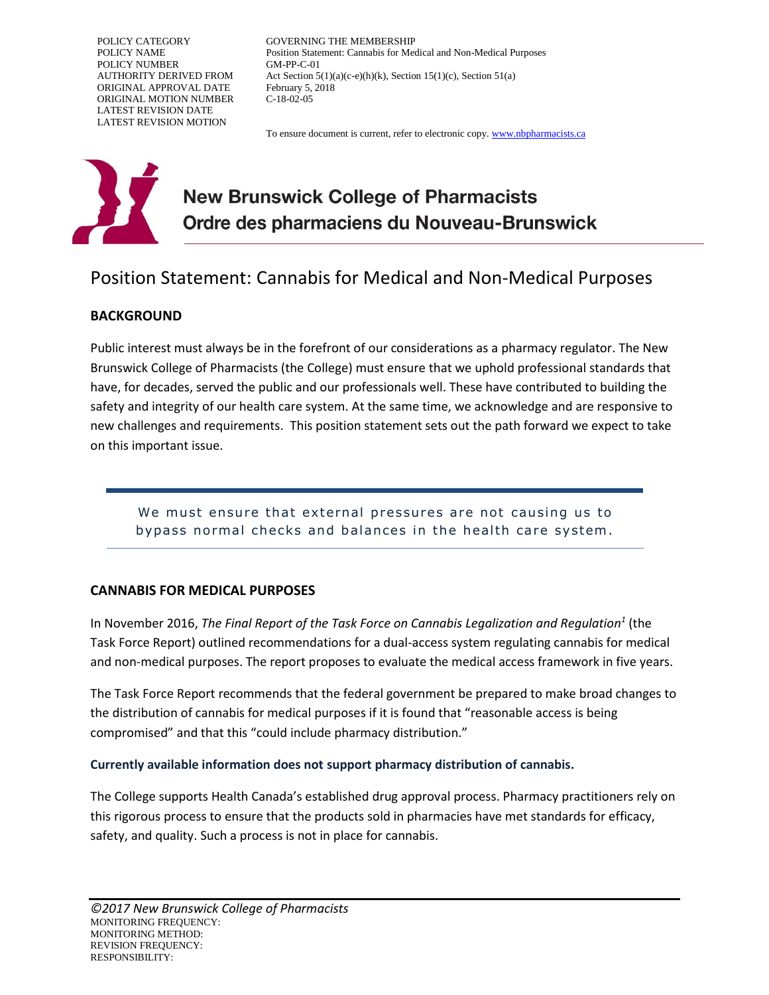POLICY NUMBER GM-PP-C-01<br>AUTHORITY DERIVED FROM Act Section 5 ORIGINAL APPROVAL DATE February 5, 2018 ORIGINAL MOTION NUMBER C-18-02-05 LATEST REVISION DATE LATEST REVISION MOTION

POLICY CATEGORY GOVERNING THE MEMBERSHIP POLICY NAME Position Statement: Cannabis for Medical and Non-Medical Purposes Act Section  $5(1)(a)(c-e)(h)(k)$ , Section  $15(1)(c)$ , Section  $51(a)$ 

To ensure document is current, refer to electronic copy[. www.nbpharmacists.ca](http://www.nbpharmacists.ca/)



# **New Brunswick College of Pharmacists** Ordre des pharmaciens du Nouveau-Brunswick

## Position Statement: Cannabis for Medical and Non-Medical Purposes

### **BACKGROUND**

Public interest must always be in the forefront of our considerations as a pharmacy regulator. The New Brunswick College of Pharmacists (the College) must ensure that we uphold professional standards that have, for decades, served the public and our professionals well. These have contributed to building the safety and integrity of our health care system. At the same time, we acknowledge and are responsive to new challenges and requirements. This position statement sets out the path forward we expect to take on this important issue.

<span id="page-0-0"></span>We must ensure that external pressures are not causing us to bypass normal checks and balances in the health care system.

#### **CANNABIS FOR MEDICAL PURPOSES**

In November 2016, *The Final Report of the Task Force on Cannabis Legalization and Regulation 1* (the Task Force Report) outlined recommendations for a dual-access system regulating cannabis for medical and non-medical purposes. The report proposes to evaluate the medical access framework in five years.

The Task Force Report recommends that the federal government be prepared to make broad changes to the distribution of cannabis for medical purposes if it is found that "reasonable access is being compromised" and that this "could include pharmacy distribution."

#### **Currently available information does not support pharmacy distribution of cannabis.**

The College supports Health Canada's established drug approval process. Pharmacy practitioners rely on this rigorous process to ensure that the products sold in pharmacies have met standards for efficacy, safety, and quality. Such a process is not in place for cannabis.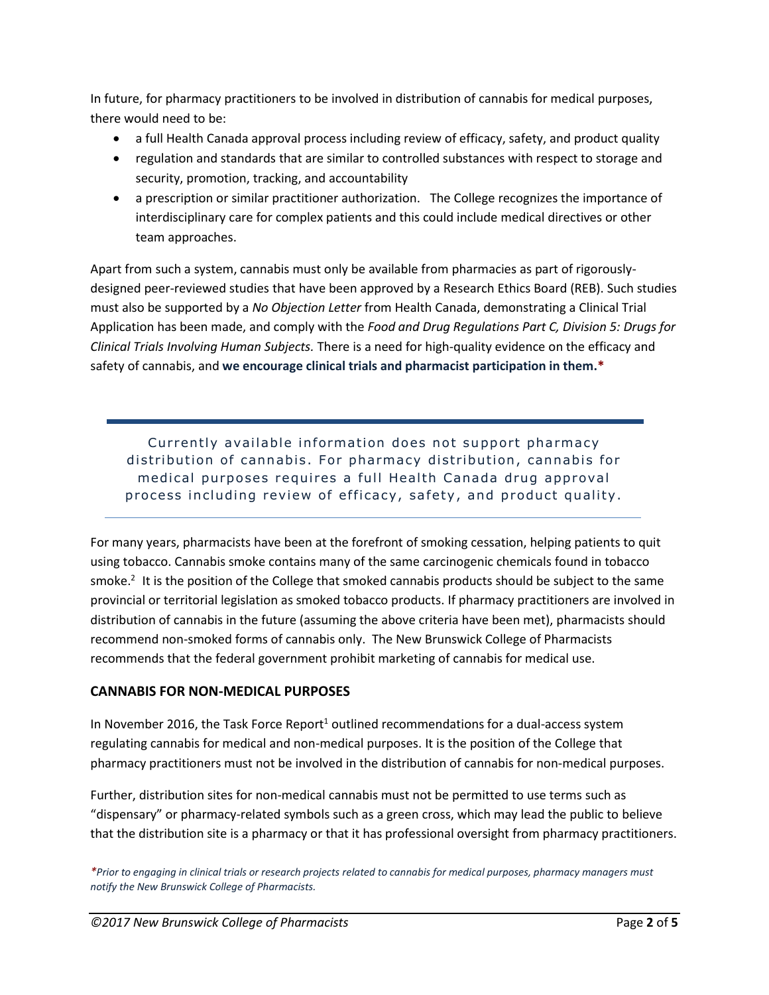In future, for pharmacy practitioners to be involved in distribution of cannabis for medical purposes, there would need to be:

- a full Health Canada approval process including review of efficacy, safety, and product quality
- regulation and standards that are similar to controlled substances with respect to storage and security, promotion, tracking, and accountability
- a prescription or similar practitioner authorization. The College recognizes the importance of interdisciplinary care for complex patients and this could include medical directives or other team approaches.

Apart from such a system, cannabis must only be available from pharmacies as part of rigorouslydesigned peer-reviewed studies that have been approved by a Research Ethics Board (REB). Such studies must also be supported by a *No Objection Letter* from Health Canada, demonstrating a Clinical Trial Application has been made, and comply with the *Food and Drug Regulations Part C, Division 5: Drugs for Clinical Trials Involving Human Subjects.* There is a need for high-quality evidence on the efficacy and safety of cannabis, and **we encourage clinical trials and pharmacist participation in them.\***

Currently available information does not support pharmacy distribution of cannabis. For pharmacy distribution, cannabis for medical purposes requires a full Health Canada drug approval process including review of efficacy, safety, and product quality.

For many years, pharmacists have been at the forefront of smoking cessation, helping patients to quit using tobacco. Cannabis smoke contains many of the same carcinogenic chemicals found in tobacco smoke.<sup>2</sup> It is the position of the College that smoked cannabis products should be subject to the same provincial or territorial legislation as smoked tobacco products. If pharmacy practitioners are involved in distribution of cannabis in the future (assuming the above criteria have been met), pharmacists should recommend non-smoked forms of cannabis only. The New Brunswick College of Pharmacists recommends that the federal government prohibit marketing of cannabis for medical use.

#### **CANNABIS FOR NON-MEDICAL PURPOSES**

In November 20[1](#page-0-0)6, the Task Force Report<sup>1</sup> outlined recommendations for a dual-access system regulating cannabis for medical and non-medical purposes. It is the position of the College that pharmacy practitioners must not be involved in the distribution of cannabis for non-medical purposes.

Further, distribution sites for non-medical cannabis must not be permitted to use terms such as "dispensary" or pharmacy-related symbols such as a green cross, which may lead the public to believe that the distribution site is a pharmacy or that it has professional oversight from pharmacy practitioners.

*\*Prior to engaging in clinical trials or research projects related to cannabis for medical purposes, pharmacy managers must notify the New Brunswick College of Pharmacists.*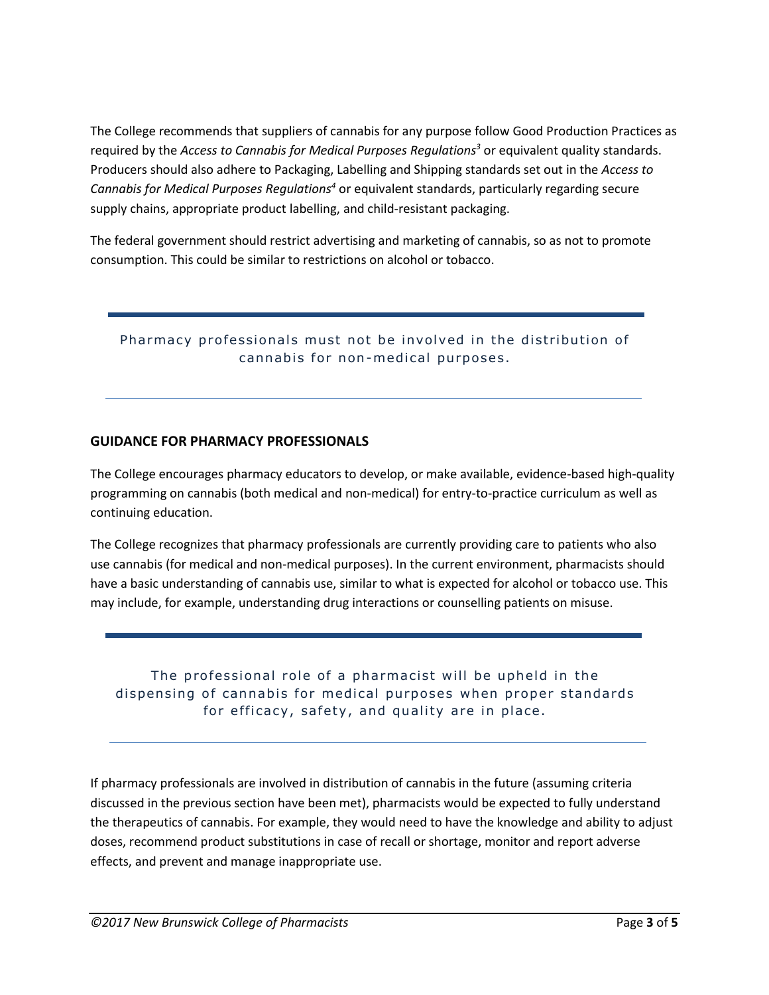The College recommends that suppliers of cannabis for any purpose follow Good Production Practices as required by the *Access to Cannabis for Medical Purposes Regulations <sup>3</sup>* or equivalent quality standards. Producers should also adhere to Packaging, Labelling and Shipping standards set out in the *Access to*  Cannabis for Medical Purposes Regulations<sup>4</sup> or equivalent standards, particularly regarding secure supply chains, appropriate product labelling, and child-resistant packaging.

The federal government should restrict advertising and marketing of cannabis, so as not to promote consumption. This could be similar to restrictions on alcohol or tobacco.

#### Pharmacy professionals must not be involved in the distribution of cannabis for non-medical purposes.

#### **GUIDANCE FOR PHARMACY PROFESSIONALS**

The College encourages pharmacy educators to develop, or make available, evidence-based high-quality programming on cannabis (both medical and non-medical) for entry-to-practice curriculum as well as continuing education.

The College recognizes that pharmacy professionals are currently providing care to patients who also use cannabis (for medical and non-medical purposes). In the current environment, pharmacists should have a basic understanding of cannabis use, similar to what is expected for alcohol or tobacco use. This may include, for example, understanding drug interactions or counselling patients on misuse.

### The professional role of a pharmacist will be upheld in the dispensing of cannabis for medical purposes when proper standards for efficacy, safety, and quality are in place.

If pharmacy professionals are involved in distribution of cannabis in the future (assuming criteria discussed in the previous section have been met), pharmacists would be expected to fully understand the therapeutics of cannabis. For example, they would need to have the knowledge and ability to adjust doses, recommend product substitutions in case of recall or shortage, monitor and report adverse effects, and prevent and manage inappropriate use.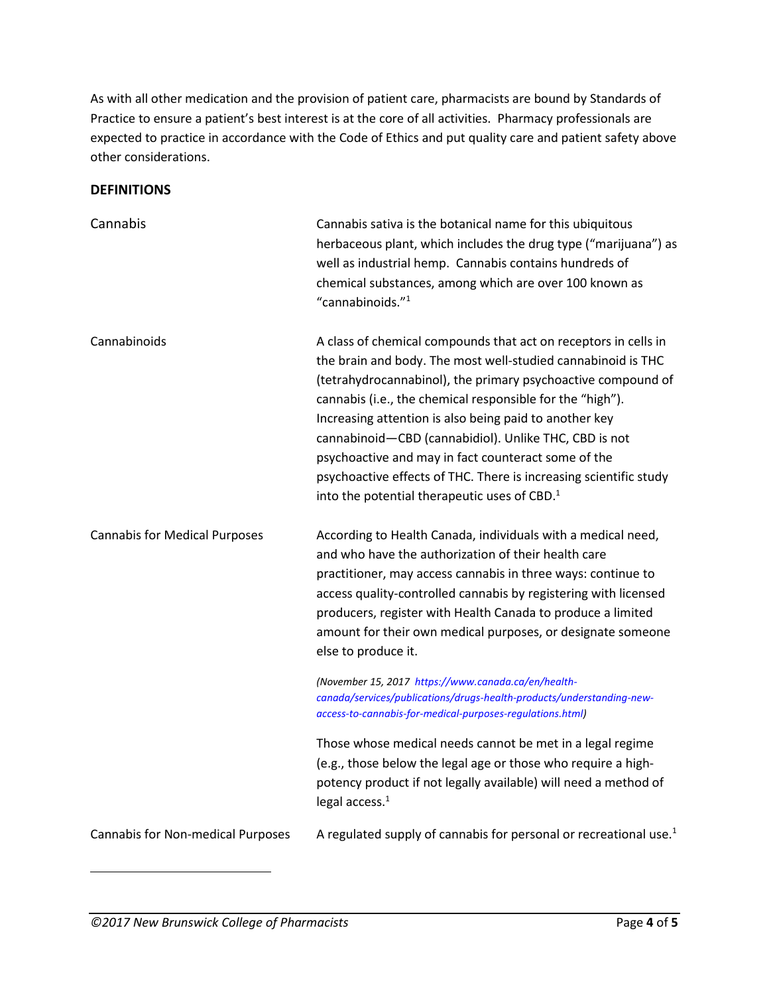As with all other medication and the provision of patient care, pharmacists are bound by Standards of Practice to ensure a patient's best interest is at the core of all activities. Pharmacy professionals are expected to practice in accordance with the Code of Ethics and put quality care and patient safety above other considerations.

#### **DEFINITIONS**

| Cannabis                                 | Cannabis sativa is the botanical name for this ubiquitous<br>herbaceous plant, which includes the drug type ("marijuana") as<br>well as industrial hemp. Cannabis contains hundreds of<br>chemical substances, among which are over 100 known as<br>"cannabinoids." <sup>1</sup>                                                                                                                                                                                                                                                                                        |
|------------------------------------------|-------------------------------------------------------------------------------------------------------------------------------------------------------------------------------------------------------------------------------------------------------------------------------------------------------------------------------------------------------------------------------------------------------------------------------------------------------------------------------------------------------------------------------------------------------------------------|
| Cannabinoids                             | A class of chemical compounds that act on receptors in cells in<br>the brain and body. The most well-studied cannabinoid is THC<br>(tetrahydrocannabinol), the primary psychoactive compound of<br>cannabis (i.e., the chemical responsible for the "high").<br>Increasing attention is also being paid to another key<br>cannabinoid-CBD (cannabidiol). Unlike THC, CBD is not<br>psychoactive and may in fact counteract some of the<br>psychoactive effects of THC. There is increasing scientific study<br>into the potential therapeutic uses of CBD. <sup>1</sup> |
| <b>Cannabis for Medical Purposes</b>     | According to Health Canada, individuals with a medical need,<br>and who have the authorization of their health care<br>practitioner, may access cannabis in three ways: continue to<br>access quality-controlled cannabis by registering with licensed<br>producers, register with Health Canada to produce a limited<br>amount for their own medical purposes, or designate someone<br>else to produce it.                                                                                                                                                             |
|                                          | (November 15, 2017 https://www.canada.ca/en/health-<br>canada/services/publications/drugs-health-products/understanding-new-<br>access-to-cannabis-for-medical-purposes-regulations.html)                                                                                                                                                                                                                                                                                                                                                                               |
|                                          | Those whose medical needs cannot be met in a legal regime<br>(e.g., those below the legal age or those who require a high-<br>potency product if not legally available) will need a method of<br>legal access. <sup>1</sup>                                                                                                                                                                                                                                                                                                                                             |
| <b>Cannabis for Non-medical Purposes</b> | A regulated supply of cannabis for personal or recreational use. <sup>1</sup>                                                                                                                                                                                                                                                                                                                                                                                                                                                                                           |

 $\overline{\phantom{a}}$